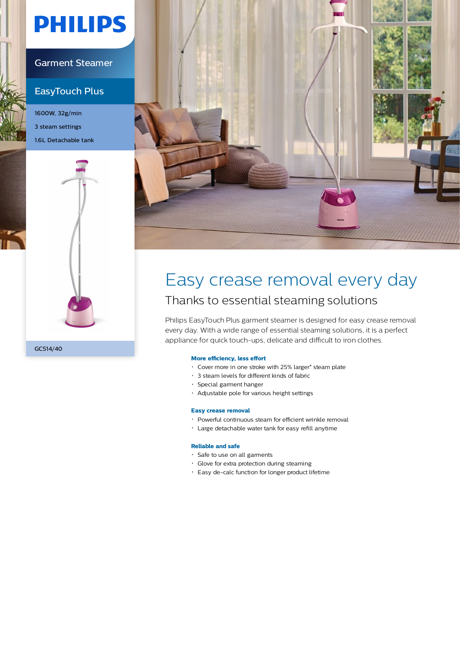# **PHILIPS**

### Garment Steamer

### EasyTouch Plus

1600W, 32g/min 3 steam settings 1.6L Detachable tank





# Easy crease removal every day

### Thanks to essential steaming solutions

Philips EasyTouch Plus garment steamer is designed for easy crease removal every day. With a wide range of essential steaming solutions, it is a perfect appliance for quick touch-ups, delicate and difficult to iron clothes.

### **More efficiency, less effort**

- Cover more in one stroke with 25% larger\* steam plate
- 3 steam levels for different kinds of fabric
- Special garment hanger
- Adjustable pole for various height settings

#### **Easy crease removal**

- Powerful continuous steam for efficient wrinkle removal
- Large detachable water tank for easy refill anytime

#### **Reliable and safe**

- Safe to use on all garments
- Glove for extra protection during steaming
- Easy de-calc function for longer product lifetime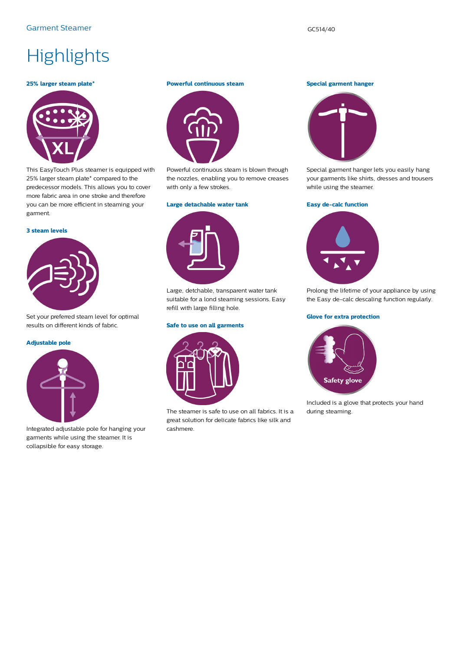# **Highlights**

#### **25% larger steam plate\***



This EasyTouch Plus steamer is equipped with 25% larger steam plate\* compared to the predecessor models. This allows you to cover more fabric area in one stroke and therefore you can be more efficient in steaming your garment.

#### **3 steam levels**



Set your preferred steam level for optimal results on different kinds of fabric.

#### **Adjustable pole**



Integrated adjustable pole for hanging your garments while using the steamer. It is collapsible for easy storage.

#### **Powerful continuous steam**



Powerful continuous steam is blown through the nozzles, enabling you to remove creases with only a few strokes.

#### **Large detachable water tank**

Large, detchable, transparent water tank suitable for a lond steaming sessions. Easy refill with large filling hole.

#### **Safe to use on all garments**



The steamer is safe to use on all fabrics. It is a great solution for delicate fabrics like silk and cashmere.

#### **Special garment hanger**



Special garment hanger lets you easily hang your garments like shirts, dresses and trousers while using the steamer.

#### **Easy de-calc function**



Prolong the lifetime of your appliance by using the Easy de-calc descaling function regularly.

#### **Glove for extra protection**



Included is a glove that protects your hand during steaming.